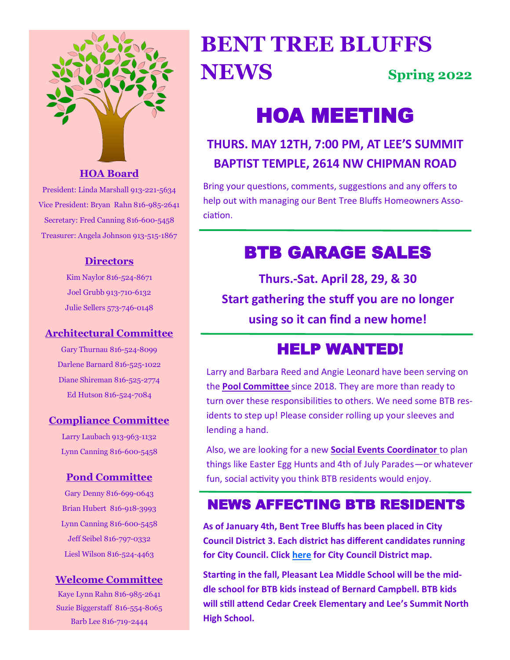

#### **HOA Board**

President: Linda Marshall 913-221-5634 Vice President: Bryan Rahn 816-985-2641 Secretary: Fred Canning 816-600-5458 Treasurer: Angela Johnson 913-515-1867

#### **Directors**

Kim Naylor 816-524-8671 Joel Grubb 913-710-6132 Julie Sellers 573-746-0148

#### **Architectural Committee**

Gary Thurnau 816-524-8099 Darlene Barnard 816-525-1022 Diane Shireman 816-525-2774 Ed Hutson 816-524-7084

#### **Compliance Committee**

Larry Laubach 913-963-1132 Lynn Canning 816-600-5458

#### **Pond Committee**

Gary Denny 816-699-0643 Brian Hubert 816-918-3993 Lynn Canning 816-600-5458 Jeff Seibel 816-797-0332 Liesl Wilson 816-524-4463

#### **Welcome Committee**

Kaye Lynn Rahn 816-985-2641 Suzie Biggerstaff 816-554-8065 Barb Lee 816-719-2444

# **BENT TREE BLUFFS NEWS Spring 2022**

# HOA MEETING

## **THURS. MAY 12TH, 7:00 PM, AT LEE'S SUMMIT BAPTIST TEMPLE, 2614 NW CHIPMAN ROAD**

Bring your questions, comments, suggestions and any offers to help out with managing our Bent Tree Bluffs Homeowners Association.

# BTB GARAGE SALES

**Thurs.-Sat. April 28, 29, & 30 Start gathering the stuff you are no longer using so it can find a new home!**

# HELP WANTED!

Larry and Barbara Reed and Angie Leonard have been serving on the **Pool Committee** since 2018. They are more than ready to turn over these responsibilities to others. We need some BTB residents to step up! Please consider rolling up your sleeves and lending a hand.

Also, we are looking for a new **Social Events Coordinator** to plan things like Easter Egg Hunts and 4th of July Parades—or whatever fun, social activity you think BTB residents would enjoy.

### NEWS AFFECTING BTB RESIDENTS

**As of January 4th, Bent Tree Bluffs has been placed in City Council District 3. Each district has different candidates running for City Council. Click [here](https://www.arcgis.com/home/webmap/viewer.html?webmap=79388b80bbd04911ae59cb57ab513061) for City Council District map.**

**Starting in the fall, Pleasant Lea Middle School will be the middle school for BTB kids instead of Bernard Campbell. BTB kids will still attend Cedar Creek Elementary and Lee's Summit North High School.**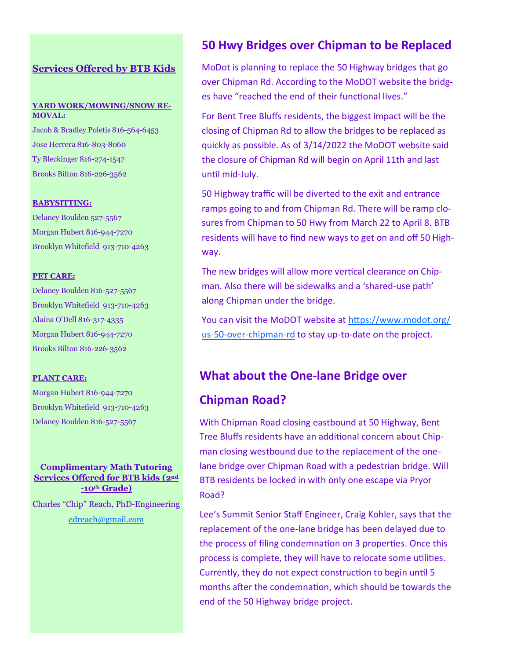#### **Services Offered by BTB Kids**

#### **YARD WORK/MOWING/SNOW RE-MOVAL:**

Jacob & Bradley Poletis 816-564-6453 Jose Herrera 816-803-8060 Ty Bleckinger 816-274-1547 Brooks Bilton 816-226-3562

#### **BABYSITTING:**

Delaney Boulden 527-5567 Morgan Hubert 816-944-7270 Brooklyn Whitefield 913-710-4263

#### **PET CARE:**

Delaney Boulden 816-527-5567 Brooklyn Whitefield 913-710-4263 Alaina O'Dell 816-317-4335 Morgan Hubert 816-944-7270 Brooks Bilton 816-226-3562

#### **PLANT CARE:**

Morgan Hubert 816-944-7270 Brooklyn Whitefield 913-710-4263 Delaney Boulden 816-527-5567

#### **Complimentary Math Tutoring Services Offered for BTB kids (2nd -10th Grade)**

Charles "Chip" Reach, PhD-Engineering [cdreach@gmail.com](mailto:cdreach@gmail.com)

#### **50 Hwy Bridges over Chipman to be Replaced**

MoDot is planning to replace the 50 Highway bridges that go over Chipman Rd. According to the MoDOT website the bridges have "reached the end of their functional lives."

For Bent Tree Bluffs residents, the biggest impact will be the closing of Chipman Rd to allow the bridges to be replaced as quickly as possible. As of 3/14/2022 the MoDOT website said the closure of Chipman Rd will begin on April 11th and last until mid-July.

50 Highway traffic will be diverted to the exit and entrance ramps going to and from Chipman Rd. There will be ramp closures from Chipman to 50 Hwy from March 22 to April 8. BTB residents will have to find new ways to get on and off 50 Highway.

The new bridges will allow more vertical clearance on Chipman. Also there will be sidewalks and a 'shared-use path' along Chipman under the bridge.

You can visit the MoDOT website at [https://www.modot.org/](https://www.modot.org/us-50-over-chipman-rd) us-50-over-[chipman](https://www.modot.org/us-50-over-chipman-rd)-rd to stay up-to-date on the project.

#### **What about the One-lane Bridge over**

#### **Chipman Road?**

With Chipman Road closing eastbound at 50 Highway, Bent Tree Bluffs residents have an additional concern about Chipman closing westbound due to the replacement of the onelane bridge over Chipman Road with a pedestrian bridge. Will BTB residents be locked in with only one escape via Pryor Road?

Lee's Summit Senior Staff Engineer, Craig Kohler, says that the replacement of the one-lane bridge has been delayed due to the process of filing condemnation on 3 properties. Once this process is complete, they will have to relocate some utilities. Currently, they do not expect construction to begin until 5 months after the condemnation, which should be towards the end of the 50 Highway bridge project.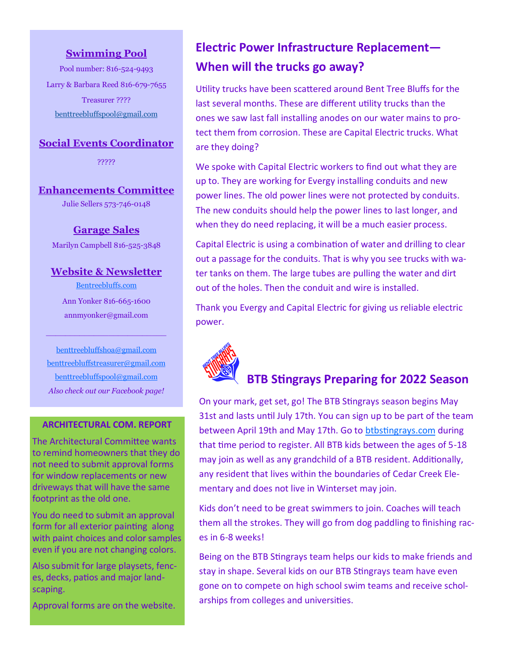#### **Swimming Pool**

Pool number: 816-524-9493 Larry & Barbara Reed 816-679-7655 Treasurer ???? [benttreebluffspool@gmail.com](mailto:benttreebluffspool@gmail.com)

#### **Social Events Coordinator**

?????

#### **Enhancements Committee**

Julie Sellers 573-746-0148

#### **Garage Sales**

Marilyn Campbell 816-525-3848

#### **Website & Newsletter**

<Bentreebluffs.com> Ann Yonker 816-665-1600 annmyonker@gmail.com

 $\frac{1}{2}$  ,  $\frac{1}{2}$  ,  $\frac{1}{2}$  ,  $\frac{1}{2}$  ,  $\frac{1}{2}$  ,  $\frac{1}{2}$  ,  $\frac{1}{2}$  ,  $\frac{1}{2}$  ,  $\frac{1}{2}$  ,  $\frac{1}{2}$  ,  $\frac{1}{2}$  ,  $\frac{1}{2}$  ,  $\frac{1}{2}$  ,  $\frac{1}{2}$  ,  $\frac{1}{2}$  ,  $\frac{1}{2}$  ,  $\frac{1}{2}$  ,  $\frac{1}{2}$  ,  $\frac{1$ 

[benttreebluffshoa@gmail.com](mailto:benttreebluffshoa@gmail.com.) [benttreebluffstreasurer@gmail.com](mailto:benttreebluffstreasurer@gmail.com) [benttreebluffspool@gmail.com](mailto:benttreebluffspool@gmail.com) *Also check out our Facebook page!*

#### **ARCHITECTURAL COM. REPORT**

The Architectural Committee wants to remind homeowners that they do not need to submit approval forms for window replacements or new driveways that will have the same footprint as the old one.

You do need to submit an approval form for all exterior painting along with paint choices and color samples even if you are not changing colors.

Also submit for large playsets, fences, decks, patios and major landscaping.

Approval forms are on the website.

### **Electric Power Infrastructure Replacement— When will the trucks go away?**

Utility trucks have been scattered around Bent Tree Bluffs for the last several months. These are different utility trucks than the ones we saw last fall installing anodes on our water mains to protect them from corrosion. These are Capital Electric trucks. What are they doing?

We spoke with Capital Electric workers to find out what they are up to. They are working for Evergy installing conduits and new power lines. The old power lines were not protected by conduits. The new conduits should help the power lines to last longer, and when they do need replacing, it will be a much easier process.

Capital Electric is using a combination of water and drilling to clear out a passage for the conduits. That is why you see trucks with water tanks on them. The large tubes are pulling the water and dirt out of the holes. Then the conduit and wire is installed.

Thank you Evergy and Capital Electric for giving us reliable electric power.



### **BTB Stingrays Preparing for 2022 Season**

On your mark, get set, go! The BTB Stingrays season begins May 31st and lasts until July 17th. You can sign up to be part of the team between April 19th and May 17th. Go to <btbstingrays.com> during that time period to register. All BTB kids between the ages of 5-18 may join as well as any grandchild of a BTB resident. Additionally, any resident that lives within the boundaries of Cedar Creek Elementary and does not live in Winterset may join.

Kids don't need to be great swimmers to join. Coaches will teach them all the strokes. They will go from dog paddling to finishing races in 6-8 weeks!

Being on the BTB Stingrays team helps our kids to make friends and stay in shape. Several kids on our BTB Stingrays team have even gone on to compete on high school swim teams and receive scholarships from colleges and universities.